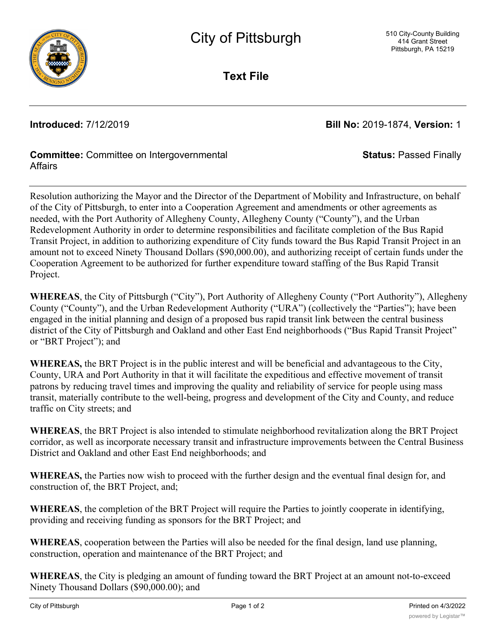

**Text File**

**Introduced:** 7/12/2019 **Bill No:** 2019-1874, **Version:** 1

**Status:** Passed Finally

## **Committee:** Committee on Intergovernmental **Affairs**

Resolution authorizing the Mayor and the Director of the Department of Mobility and Infrastructure, on behalf of the City of Pittsburgh, to enter into a Cooperation Agreement and amendments or other agreements as needed, with the Port Authority of Allegheny County, Allegheny County ("County"), and the Urban Redevelopment Authority in order to determine responsibilities and facilitate completion of the Bus Rapid Transit Project, in addition to authorizing expenditure of City funds toward the Bus Rapid Transit Project in an amount not to exceed Ninety Thousand Dollars (\$90,000.00), and authorizing receipt of certain funds under the Cooperation Agreement to be authorized for further expenditure toward staffing of the Bus Rapid Transit Project.

**WHEREAS**, the City of Pittsburgh ("City"), Port Authority of Allegheny County ("Port Authority"), Allegheny County ("County"), and the Urban Redevelopment Authority ("URA") (collectively the "Parties"); have been engaged in the initial planning and design of a proposed bus rapid transit link between the central business district of the City of Pittsburgh and Oakland and other East End neighborhoods ("Bus Rapid Transit Project" or "BRT Project"); and

**WHEREAS,** the BRT Project is in the public interest and will be beneficial and advantageous to the City, County, URA and Port Authority in that it will facilitate the expeditious and effective movement of transit patrons by reducing travel times and improving the quality and reliability of service for people using mass transit, materially contribute to the well-being, progress and development of the City and County, and reduce traffic on City streets; and

**WHEREAS**, the BRT Project is also intended to stimulate neighborhood revitalization along the BRT Project corridor, as well as incorporate necessary transit and infrastructure improvements between the Central Business District and Oakland and other East End neighborhoods; and

**WHEREAS,** the Parties now wish to proceed with the further design and the eventual final design for, and construction of, the BRT Project, and;

**WHEREAS**, the completion of the BRT Project will require the Parties to jointly cooperate in identifying, providing and receiving funding as sponsors for the BRT Project; and

**WHEREAS**, cooperation between the Parties will also be needed for the final design, land use planning, construction, operation and maintenance of the BRT Project; and

**WHEREAS**, the City is pledging an amount of funding toward the BRT Project at an amount not-to-exceed Ninety Thousand Dollars (\$90,000.00); and